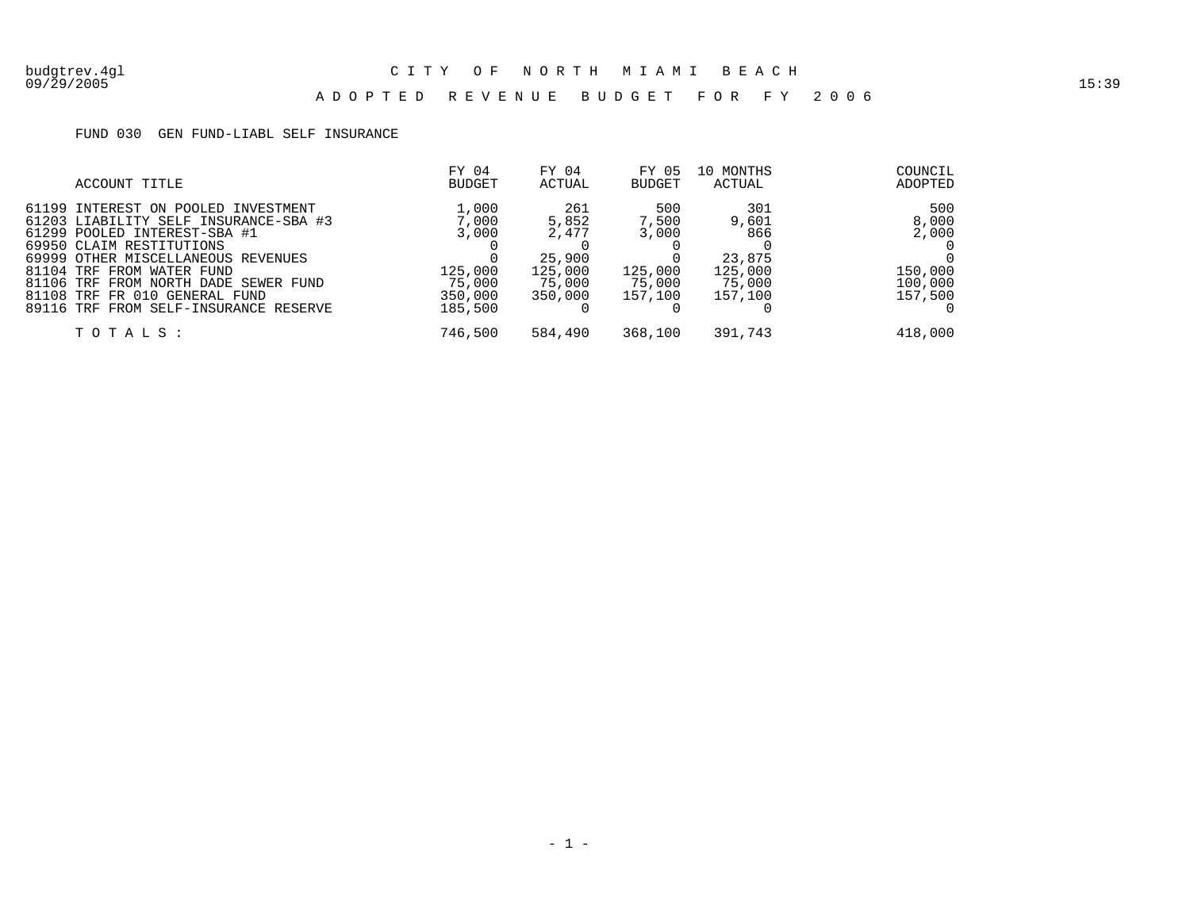### A D O P T E D R E V E N U E B U D G E T F O R F Y 2 0 0 6

### FUND 030 GEN FUND-LIABL SELF INSURANCE

| ACCOUNT TITLE                                                                                                                                                                                                                                                                                                                 | FY 04<br><b>BUDGET</b>                                             | FY 04<br>ACTUAL                                                 | FY 05<br><b>BUDGET</b>                                | 10 MONTHS<br>ACTUAL                                           | COUNCIL<br>ADOPTED                                     |
|-------------------------------------------------------------------------------------------------------------------------------------------------------------------------------------------------------------------------------------------------------------------------------------------------------------------------------|--------------------------------------------------------------------|-----------------------------------------------------------------|-------------------------------------------------------|---------------------------------------------------------------|--------------------------------------------------------|
| 61199 INTEREST ON POOLED INVESTMENT<br>61203 LIABILITY SELF INSURANCE-SBA #3<br>61299 POOLED INTEREST-SBA #1<br>69950 CLAIM RESTITUTIONS<br>69999 OTHER MISCELLANEOUS REVENUES<br>81104 TRF FROM WATER FUND<br>81106 TRF FROM NORTH DADE SEWER FUND<br>81108 TRF FR 010 GENERAL FUND<br>89116 TRF FROM SELF-INSURANCE RESERVE | 1,000<br>7,000<br>3,000<br>125,000<br>75,000<br>350,000<br>185,500 | 261<br>5,852<br>2,477<br>25,900<br>125,000<br>75,000<br>350,000 | 500<br>7,500<br>3,000<br>125,000<br>75,000<br>157,100 | 301<br>9,601<br>866<br>23,875<br>125,000<br>75,000<br>157,100 | 500<br>8,000<br>2,000<br>150,000<br>100,000<br>157,500 |
| TOTALS:                                                                                                                                                                                                                                                                                                                       | 746,500                                                            | 584,490                                                         | 368,100                                               | 391,743                                                       | 418,000                                                |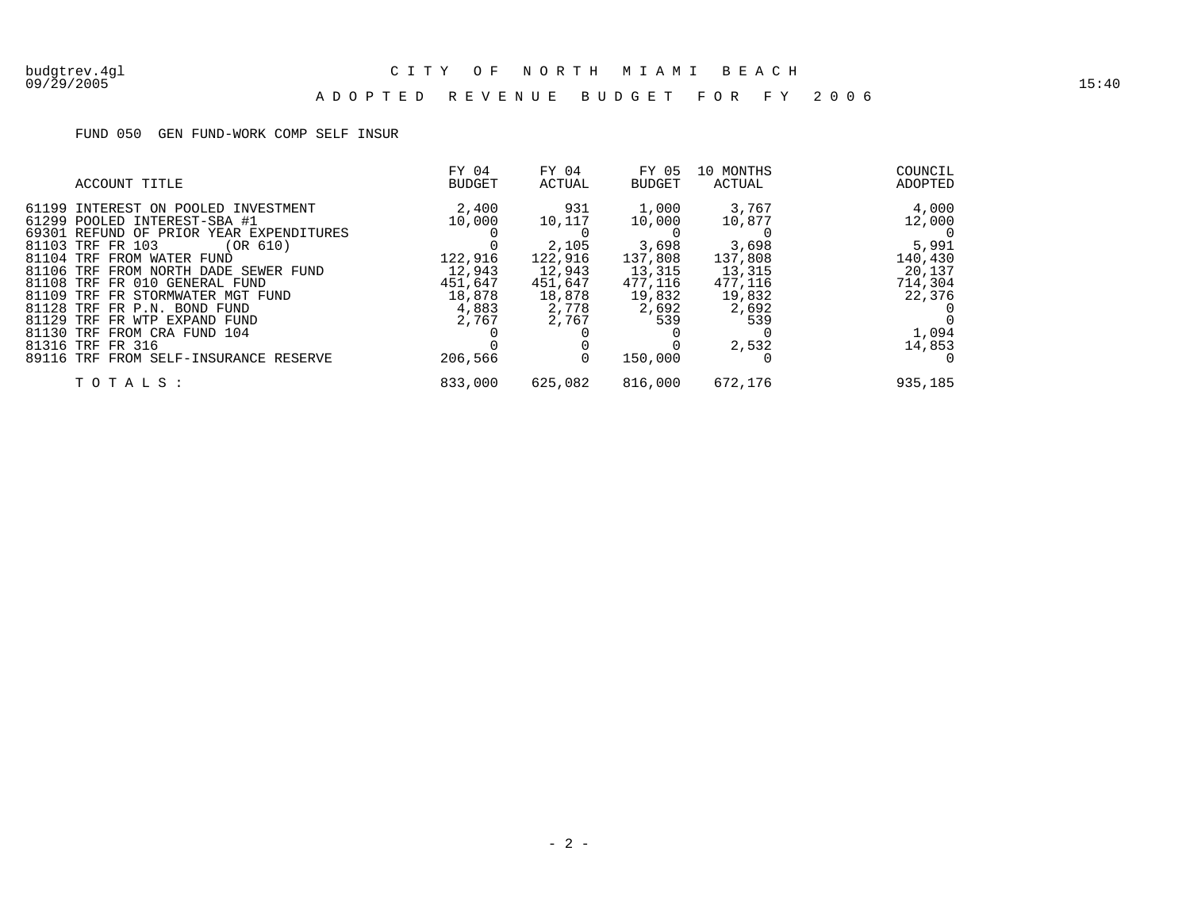#### 09/29/2005 15:40 A D O P T E D R E V E N U E B U D G E T F O R F Y 2 0 0 6

### FUND 050 GEN FUND-WORK COMP SELF INSUR

|           | ACCOUNT TITLE                                                                                                                                                                                                                                                                                                                                                                                                                             | FY 04<br><b>BUDGET</b>                                                                 | FY 04<br>ACTUAL                                                                    | FY 05<br>BUDGET                                                                               | 10 MONTHS<br>ACTUAL                                                                         | COUNCIL<br>ADOPTED                                                                    |
|-----------|-------------------------------------------------------------------------------------------------------------------------------------------------------------------------------------------------------------------------------------------------------------------------------------------------------------------------------------------------------------------------------------------------------------------------------------------|----------------------------------------------------------------------------------------|------------------------------------------------------------------------------------|-----------------------------------------------------------------------------------------------|---------------------------------------------------------------------------------------------|---------------------------------------------------------------------------------------|
| 81129 TRF | 61199 INTEREST ON POOLED INVESTMENT<br>61299 POOLED INTEREST-SBA #1<br>69301 REFUND OF PRIOR YEAR EXPENDITURES<br>81103 TRF FR 103<br>(OR 610)<br>81104 TRF FROM WATER FUND<br>81106 TRF FROM NORTH DADE SEWER FUND<br>81108 TRF FR 010 GENERAL FUND<br>81109 TRF FR STORMWATER MGT FUND<br>81128 TRF FR P.N. BOND FUND<br>FR WTP EXPAND FUND<br>81130 TRF FROM CRA FUND 104<br>81316 TRF FR 316<br>89116 TRF FROM SELF-INSURANCE RESERVE | 2,400<br>10,000<br>122,916<br>12,943<br>451,647<br>18,878<br>4,883<br>2,767<br>206,566 | 931<br>10,117<br>2,105<br>122,916<br>12,943<br>451,647<br>18,878<br>2,778<br>2,767 | 1,000<br>10,000<br>3,698<br>137,808<br>13,315<br>477.116<br>19,832<br>2,692<br>539<br>150,000 | 3,767<br>10,877<br>3,698<br>137,808<br>13,315<br>477,116<br>19,832<br>2,692<br>539<br>2,532 | 4,000<br>12,000<br>5,991<br>140,430<br>20,137<br>714,304<br>22,376<br>1,094<br>14,853 |
|           | TOTALS:                                                                                                                                                                                                                                                                                                                                                                                                                                   | 833,000                                                                                | 625,082                                                                            | 816,000                                                                                       | 672,176                                                                                     | 935,185                                                                               |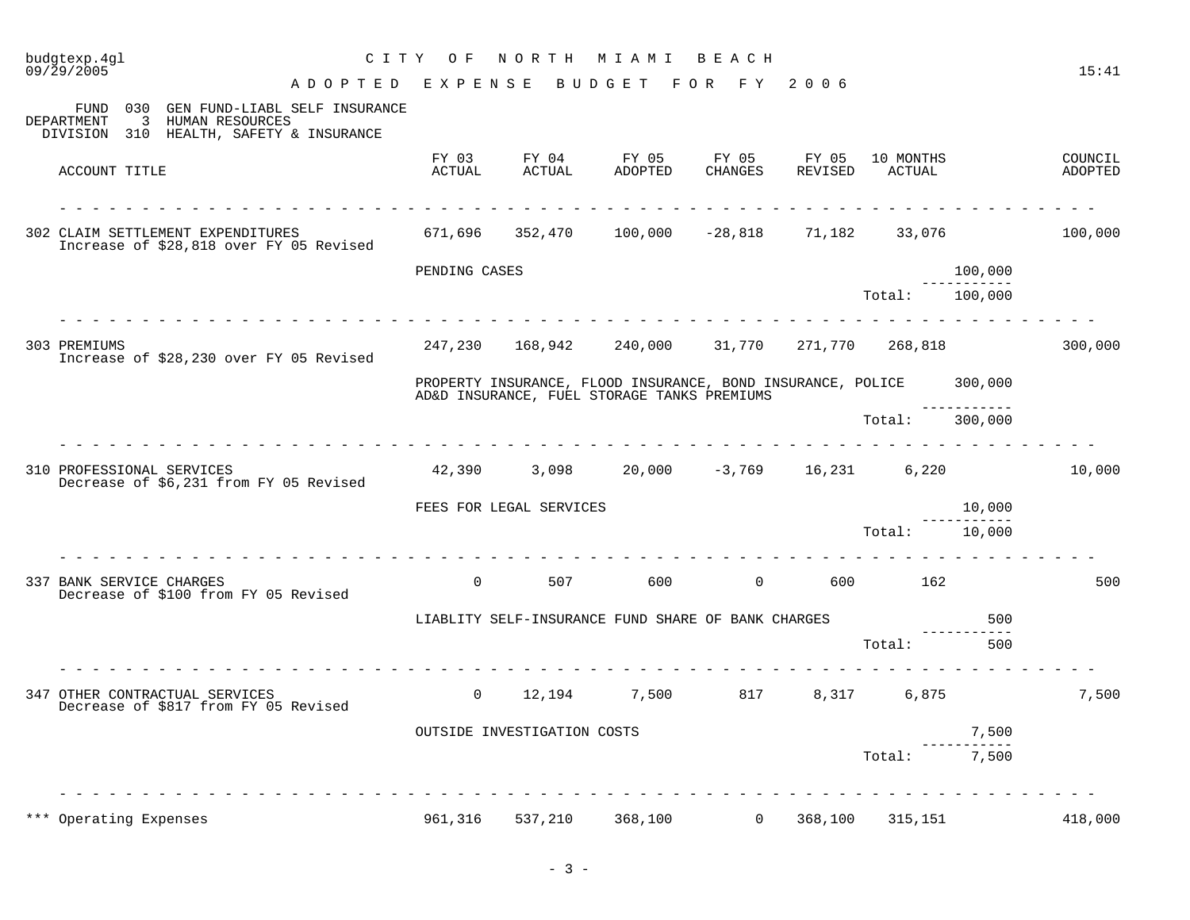|       | budgtexp.4ql<br>09/29/2005                                                                                              |                 |                             | CITY OF NORTH MIAMI BEACH                                                                                          |                  |                  |                     |                                    | 15:41              |
|-------|-------------------------------------------------------------------------------------------------------------------------|-----------------|-----------------------------|--------------------------------------------------------------------------------------------------------------------|------------------|------------------|---------------------|------------------------------------|--------------------|
|       | A D O P T E D E X P E N S E B U D G E T F O R F Y 2006                                                                  |                 |                             |                                                                                                                    |                  |                  |                     |                                    |                    |
|       | 030 GEN FUND-LIABL SELF INSURANCE<br>FUND<br>DEPARTMENT<br>3 HUMAN RESOURCES<br>DIVISION 310 HEALTH, SAFETY & INSURANCE |                 |                             |                                                                                                                    |                  |                  |                     |                                    |                    |
|       | ACCOUNT TITLE                                                                                                           | FY 03<br>ACTUAL | FY 04<br>ACTUAL             | FY 05<br>ADOPTED                                                                                                   | FY 05<br>CHANGES | FY 05<br>REVISED | 10 MONTHS<br>ACTUAL |                                    | COUNCIL<br>ADOPTED |
|       | 302 CLAIM SETTLEMENT EXPENDITURES<br>Increase of \$28,818 over FY 05 Revised                                            |                 |                             | $671,696$ $352,470$ $100,000$ $-28,818$ $71,182$ $33,076$                                                          |                  |                  |                     |                                    | 100,000            |
|       |                                                                                                                         | PENDING CASES   |                             |                                                                                                                    |                  |                  |                     | 100,000                            |                    |
|       |                                                                                                                         |                 |                             |                                                                                                                    |                  |                  | Total:              | --------<br>100,000                |                    |
|       | 303 PREMIUMS<br>Increase of \$28,230 over FY 05 Revised                                                                 |                 |                             | 247,230 168,942 240,000 31,770 271,770 268,818                                                                     |                  |                  |                     |                                    | 300,000            |
|       |                                                                                                                         |                 |                             | PROPERTY INSURANCE, FLOOD INSURANCE, BOND INSURANCE, POLICE 300,000<br>AD&D INSURANCE, FUEL STORAGE TANKS PREMIUMS |                  |                  |                     |                                    |                    |
|       |                                                                                                                         |                 |                             |                                                                                                                    |                  |                  | Total:              | <u> Leonele Leon</u> el<br>300,000 |                    |
|       | <u> 2 2 2 2 2 2 2 2 2 2 2 2 2</u><br>310 PROFESSIONAL SERVICES<br>Decrease of \$6,231 from FY 05 Revised                |                 |                             | $42,390$ $3,098$ $20,000$ $-3,769$ $16,231$ $6,220$                                                                |                  |                  |                     |                                    | 10,000             |
|       |                                                                                                                         |                 | FEES FOR LEGAL SERVICES     |                                                                                                                    |                  |                  |                     | 10,000                             |                    |
|       |                                                                                                                         |                 |                             |                                                                                                                    |                  |                  | Total:              | 10,000                             |                    |
|       | in a change and a change of<br>337 BANK SERVICE CHARGES<br>Decrease of \$100 from FY 05 Revised                         | $\Omega$        | 507                         | 600 - 10                                                                                                           |                  |                  | 0 600 162           |                                    | 500                |
|       |                                                                                                                         |                 |                             | LIABLITY SELF-INSURANCE FUND SHARE OF BANK CHARGES                                                                 |                  |                  |                     | 500                                |                    |
|       |                                                                                                                         |                 |                             |                                                                                                                    |                  |                  | Total:              | 500                                |                    |
|       | 347 OTHER CONTRACTUAL SERVICES<br>Decrease of \$817 from FY 05 Revised                                                  | $\overline{0}$  | 12,194                      |                                                                                                                    | 7,500 817        | 8,317            | 6,875               |                                    | 7,500              |
|       |                                                                                                                         |                 | OUTSIDE INVESTIGATION COSTS |                                                                                                                    |                  |                  |                     | 7,500                              |                    |
|       |                                                                                                                         |                 |                             |                                                                                                                    |                  |                  | Total:              | 7,500                              |                    |
| * * * | Operating Expenses                                                                                                      | 961,316         | 537,210                     | 368,100                                                                                                            | $\overline{0}$   | 368,100          | 315,151             |                                    | 418,000            |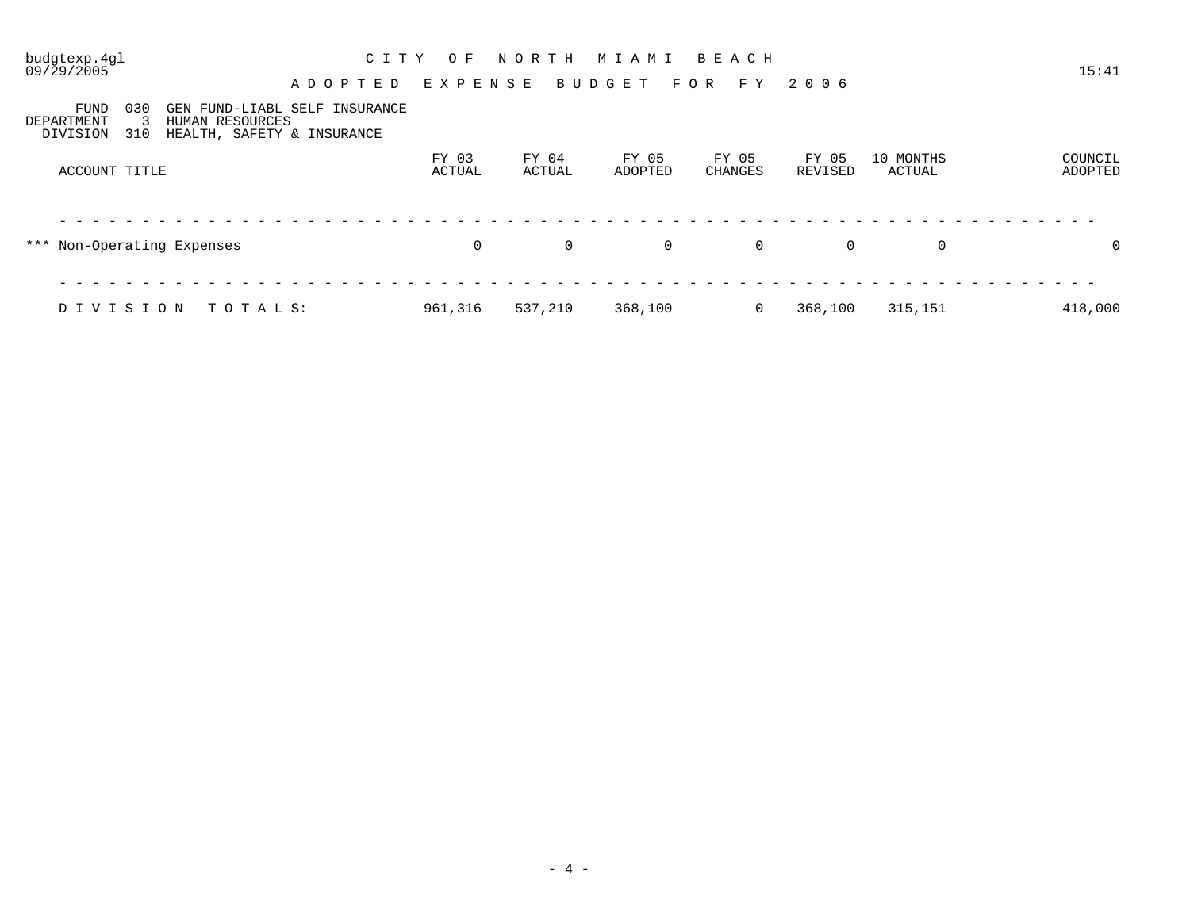09/29/2005 15:41

## budgtexp.4gl C I T Y O F N O R T H M I A M I B E A C H

A D O P T E D E X P E N S E B U D G E T F O R F Y 2 0 0 6

FUND 030 GEN FUND-LIABL SELF INSURANCE DEPARTMENT 3 HUMAN RESOURCES DEPARTMENT 3 HUMAN RESOURCES

DIVISION 310 HEALTH, SAFETY & INSURANCE

| ACCOUNT TITLE              | FY 03<br>ACTUAL | FY 04<br>ACTUAL | FY 05<br>ADOPTED | FY 05<br>CHANGES | FY 05<br>REVISED | 10 MONTHS<br>ACTUAL | COUNCIL<br>ADOPTED |
|----------------------------|-----------------|-----------------|------------------|------------------|------------------|---------------------|--------------------|
| *** Non-Operating Expenses | $\overline{0}$  | $\mathbf{0}$    | $\overline{0}$   | $\overline{0}$   | $\overline{0}$   | 0                   | 0                  |
| TOTAL S:<br>DIVISION       | 961,316         | 537,210         | 368,100          |                  | 368,100          | 315,151             | 418,000            |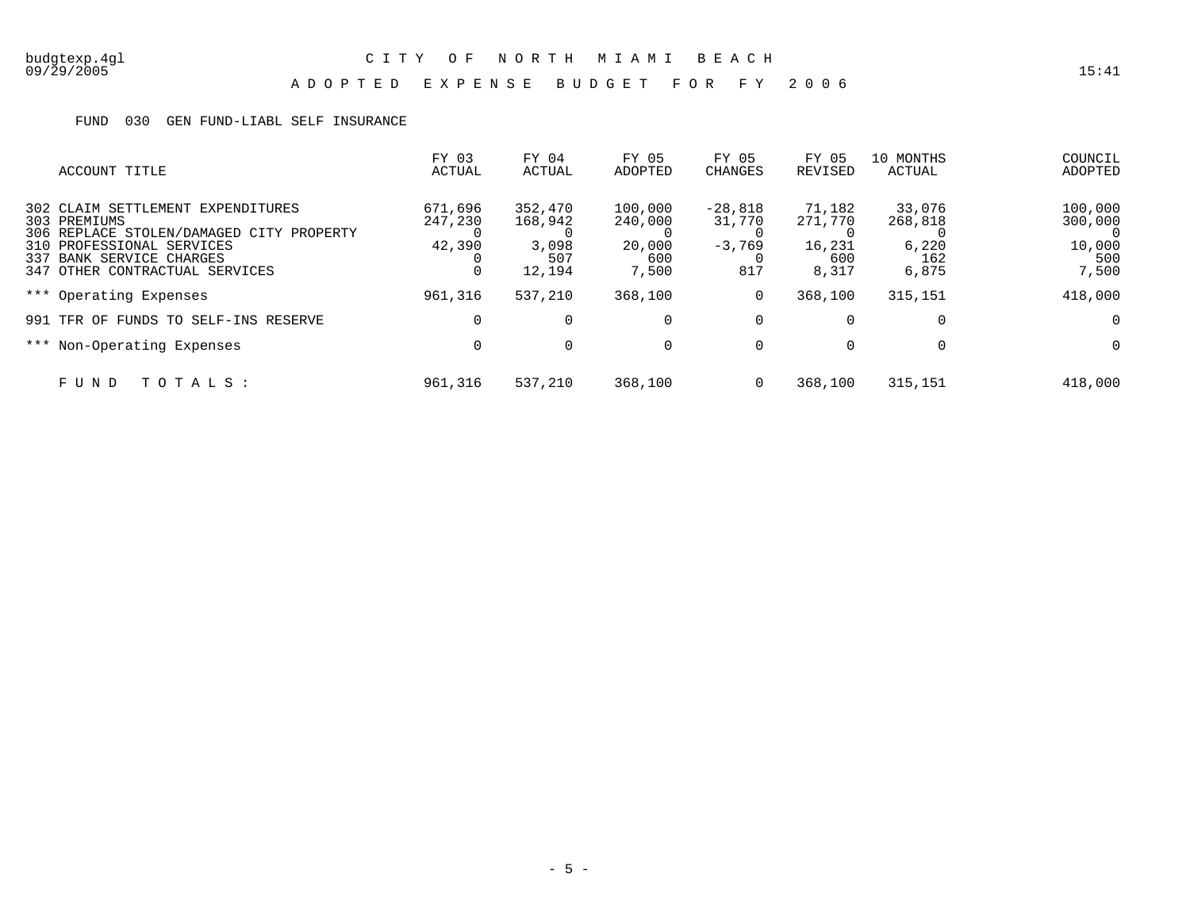# budgtexp.4gl C I T Y O F N O R T H M I A M I B E A C H

### A D O P T E D E X P E N S E B U D G E T F O R F Y 2 0 0 6

### FUND 030 GEN FUND-LIABL SELF INSURANCE

| ACCOUNT TITLE                                                                                                                                                                            | FY 03<br>ACTUAL              | FY 04<br>ACTUAL                              | FY 05<br>ADOPTED                             | FY 05<br><b>CHANGES</b>                | FY 05<br>REVISED                            | 10 MONTHS<br>ACTUAL                        | COUNCIL<br>ADOPTED                                  |
|------------------------------------------------------------------------------------------------------------------------------------------------------------------------------------------|------------------------------|----------------------------------------------|----------------------------------------------|----------------------------------------|---------------------------------------------|--------------------------------------------|-----------------------------------------------------|
| 302 CLAIM SETTLEMENT EXPENDITURES<br>303 PREMIUMS<br>306 REPLACE STOLEN/DAMAGED CITY PROPERTY<br>310 PROFESSIONAL SERVICES<br>337 BANK SERVICE CHARGES<br>347 OTHER CONTRACTUAL SERVICES | 671,696<br>247,230<br>42,390 | 352,470<br>168,942<br>3,098<br>507<br>12,194 | 100,000<br>240,000<br>20,000<br>600<br>7,500 | $-28,818$<br>31,770<br>$-3,769$<br>817 | 71,182<br>271,770<br>16,231<br>600<br>8,317 | 33,076<br>268,818<br>6,220<br>162<br>6,875 | 100,000<br>300,000<br>- 0<br>10,000<br>500<br>7,500 |
| *** Operating Expenses                                                                                                                                                                   | 961,316                      | 537,210                                      | 368,100                                      | 0                                      | 368,100                                     | 315,151                                    | 418,000                                             |
| 991 TFR OF FUNDS TO SELF-INS RESERVE                                                                                                                                                     | $\Omega$                     |                                              | $\Omega$                                     | 0                                      | 0                                           | $\mathbf 0$                                | $\mathbf 0$                                         |
| *** Non-Operating Expenses                                                                                                                                                               | $\Omega$                     |                                              | $\Omega$                                     | 0                                      | $\mathbf 0$                                 | $\mathbf 0$                                | $\mathbf 0$                                         |
| TOTALS:<br>FUND                                                                                                                                                                          | 961,316                      | 537,210                                      | 368,100                                      | 0                                      | 368,100                                     | 315,151                                    | 418,000                                             |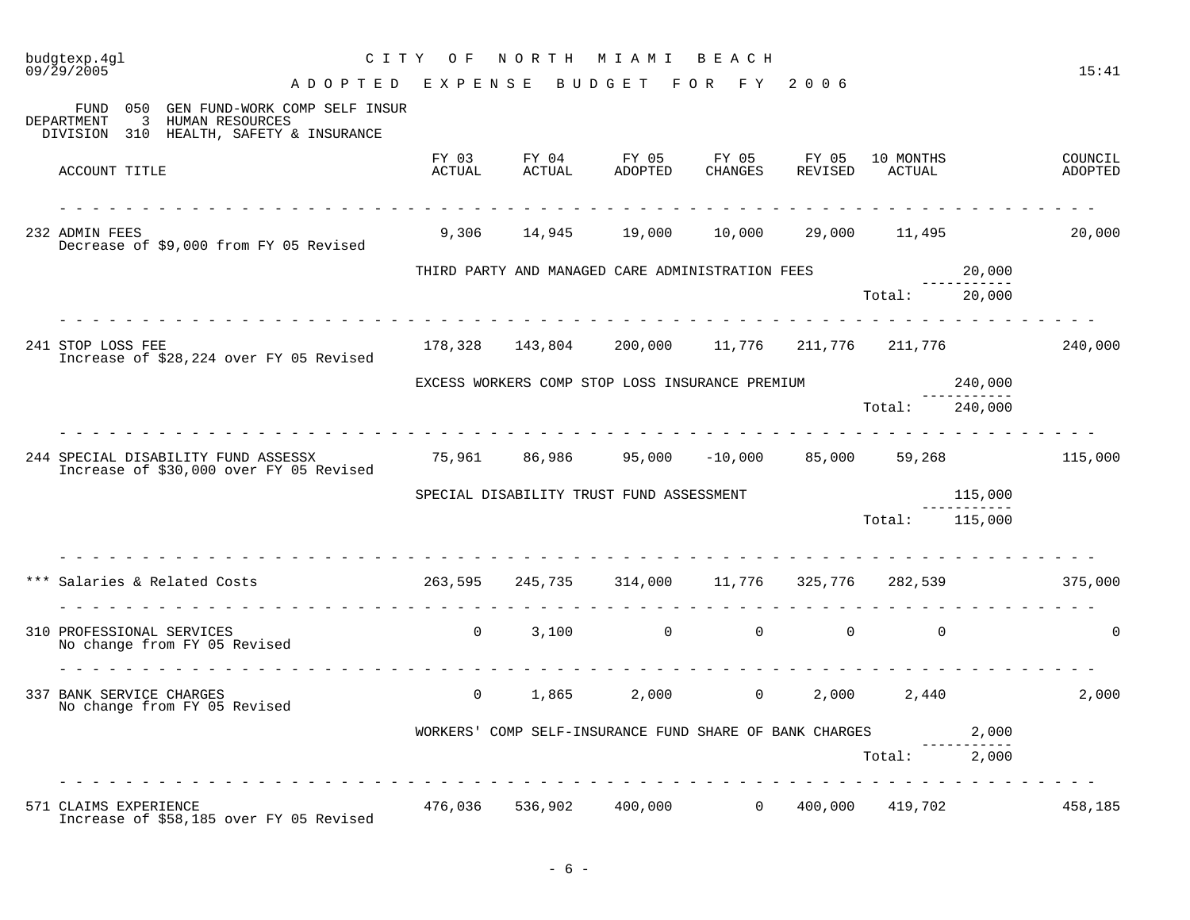| budgtexp.4gl<br>09/29/2005                                                                                           | CITY OF         | NORTH                                                                          | M I A M I                          | BEACH       |         |                               |                        | 15:41              |
|----------------------------------------------------------------------------------------------------------------------|-----------------|--------------------------------------------------------------------------------|------------------------------------|-------------|---------|-------------------------------|------------------------|--------------------|
| ADOPTED EXPENSE                                                                                                      |                 |                                                                                | B U D G E T                        | FOR FY 2006 |         |                               |                        |                    |
| FUND 050 GEN FUND-WORK COMP SELF INSUR<br>3 HUMAN RESOURCES<br>DEPARTMENT<br>DIVISION 310 HEALTH, SAFETY & INSURANCE |                 |                                                                                |                                    |             |         |                               |                        |                    |
| ACCOUNT TITLE                                                                                                        | FY 03<br>ACTUAL | ACTUAL                                                                         | FY 04 FY 05 FY 05 FY 05<br>ADOPTED | CHANGES     | REVISED | 10 MONTHS<br>ACTUAL<br>ACTUAL |                        | COUNCIL<br>ADOPTED |
| 232 ADMIN FEES<br>Decrease of \$9,000 from FY 05 Revised                                                             |                 | 9,306 14,945 19,000 10,000 29,000 11,495                                       |                                    |             |         |                               |                        | 20,000             |
|                                                                                                                      |                 | THIRD PARTY AND MANAGED CARE ADMINISTRATION FEES                               |                                    |             |         |                               | 20,000                 |                    |
|                                                                                                                      |                 |                                                                                |                                    |             |         | Total: 20,000                 |                        |                    |
| 241 STOP LOSS FEE<br>Increase of \$28,224 over FY 05 Revised                                                         |                 | $178,328$ $143,804$ $200,000$ $11,776$ $211,776$ $211,776$ $211,776$ $240,000$ |                                    |             |         |                               |                        |                    |
|                                                                                                                      |                 | EXCESS WORKERS COMP STOP LOSS INSURANCE PREMIUM                                |                                    |             |         |                               | 240,000                |                    |
|                                                                                                                      |                 |                                                                                |                                    |             |         | Total:                        | 240,000                |                    |
| 244 SPECIAL DISABILITY FUND ASSESSX<br>Increase of \$30,000 over FY 05 Revised                                       |                 | $75,961$ 86,986 95,000 -10,000 85,000 59,268 115,000                           |                                    |             |         |                               |                        |                    |
|                                                                                                                      |                 | SPECIAL DISABILITY TRUST FUND ASSESSMENT                                       |                                    |             |         |                               | 115,000<br>___________ |                    |
|                                                                                                                      |                 |                                                                                |                                    |             |         | Total: 115,000                |                        |                    |
| Salaries & Related Costs (375,000) 363,595 (245,735 (314,000 (11,776 (325,776 (282,539 (375,000) 375,000             |                 |                                                                                |                                    |             |         |                               |                        |                    |
| 310 PROFESSIONAL SERVICES<br>No change from FY 05 Revised                                                            |                 | $0 \qquad 3,100 \qquad \qquad 0 \qquad \qquad 0 \qquad \qquad 0$               |                                    |             |         |                               |                        | $\Omega$           |
| 337 BANK SERVICE CHARGES<br>No change from FY 05 Revised                                                             | $\overline{0}$  | 1,865                                                                          |                                    |             |         | 2,000 0 2,000 2,440           |                        | 2,000              |
|                                                                                                                      |                 | WORKERS' COMP SELF-INSURANCE FUND SHARE OF BANK CHARGES                        |                                    |             |         |                               | 2,000                  |                    |
|                                                                                                                      |                 |                                                                                |                                    |             |         | Total: 2,000                  |                        |                    |
|                                                                                                                      |                 |                                                                                |                                    |             |         |                               |                        |                    |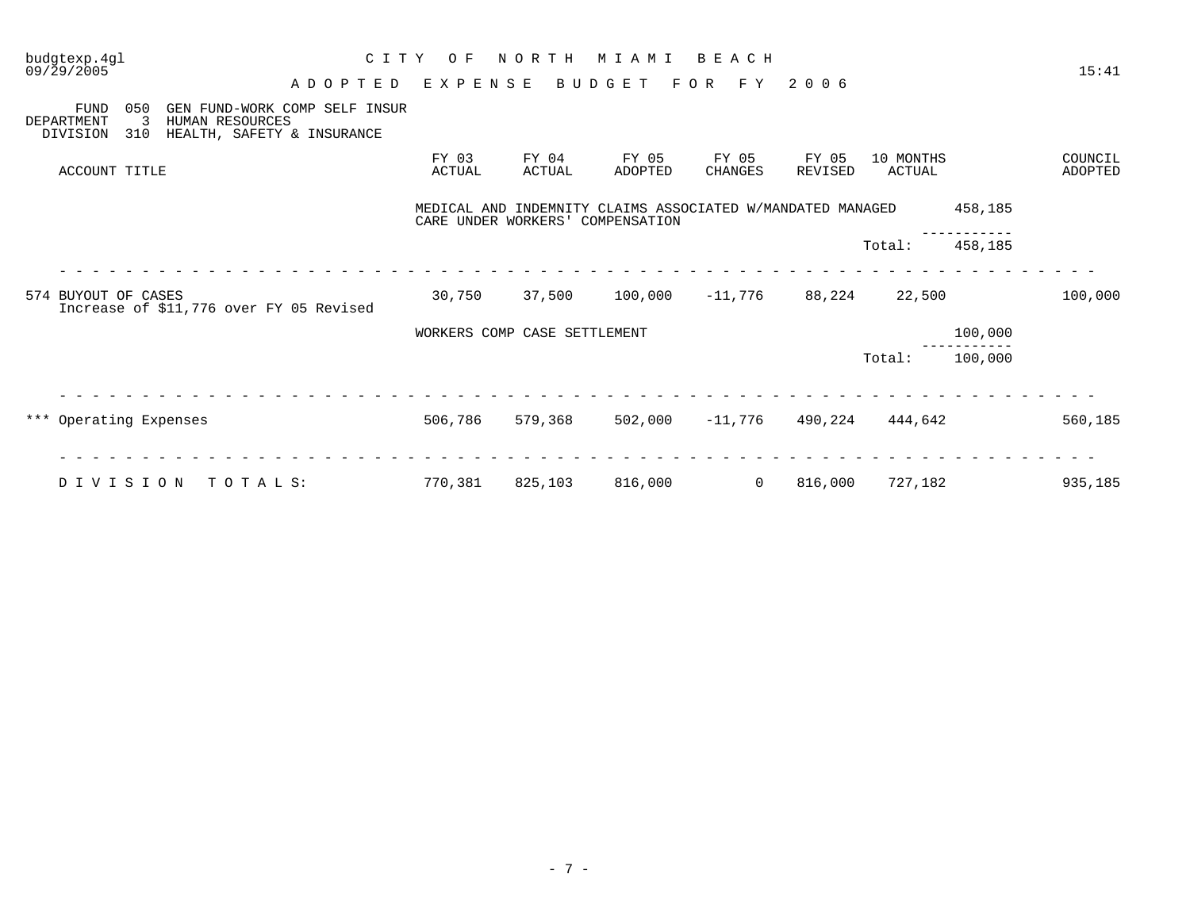| budgtexp.4gl<br>C I T Y<br>09/29/2005                                                                                                             | O F             | NORTH                            | M I A M I                                                  | BEACH                   |                  |                     |         | 15:41              |
|---------------------------------------------------------------------------------------------------------------------------------------------------|-----------------|----------------------------------|------------------------------------------------------------|-------------------------|------------------|---------------------|---------|--------------------|
| A D O P T E D                                                                                                                                     | EXPENSE         |                                  | BUDGET                                                     | F O R<br>F Y            | 2006             |                     |         |                    |
| 050<br><b>FUND</b><br>GEN FUND-WORK COMP SELF INSUR<br>3<br>HUMAN RESOURCES<br><b>DEPARTMENT</b><br>310<br>HEALTH, SAFETY & INSURANCE<br>DIVISION |                 |                                  |                                                            |                         |                  |                     |         |                    |
| ACCOUNT TITLE                                                                                                                                     | FY 03<br>ACTUAL | FY 04<br>ACTUAL                  | FY 05<br>ADOPTED                                           | FY 05<br><b>CHANGES</b> | FY 05<br>REVISED | 10 MONTHS<br>ACTUAL |         | COUNCIL<br>ADOPTED |
|                                                                                                                                                   |                 | CARE UNDER WORKERS' COMPENSATION | MEDICAL AND INDEMNITY CLAIMS ASSOCIATED W/MANDATED MANAGED |                         |                  |                     | 458,185 |                    |
|                                                                                                                                                   |                 |                                  |                                                            |                         |                  | Total:              | 458,185 |                    |
|                                                                                                                                                   |                 |                                  |                                                            |                         |                  |                     |         |                    |
| 574 BUYOUT OF CASES<br>Increase of \$11,776 over FY 05 Revised                                                                                    | 30,750          | 37,500                           | 100,000                                                    | $-11,776$               | 88,224           | 22,500              |         | 100,000            |
|                                                                                                                                                   |                 | WORKERS COMP CASE SETTLEMENT     |                                                            |                         |                  |                     | 100,000 |                    |
|                                                                                                                                                   |                 |                                  |                                                            |                         |                  | Total:              | 100,000 |                    |
|                                                                                                                                                   |                 |                                  |                                                            |                         |                  |                     |         |                    |
| *** Operating Expenses                                                                                                                            | 506,786         | 579,368                          | 502,000                                                    | $-11,776$               | 490,224          | 444,642             |         | 560,185            |
|                                                                                                                                                   |                 |                                  |                                                            |                         |                  |                     |         |                    |
| DIVISION<br>TOTALS:                                                                                                                               | 770,381         | 825,103                          | 816,000                                                    | 0                       | 816,000          | 727,182             |         | 935,185            |